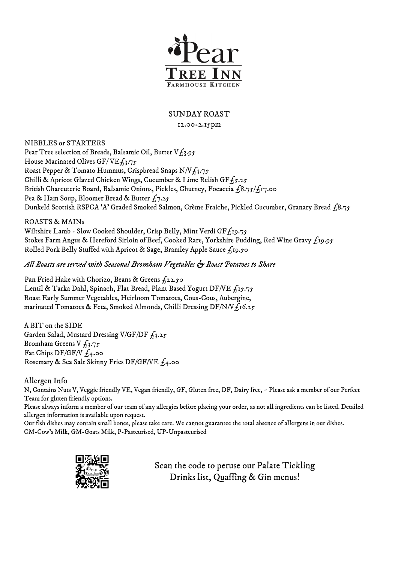

## SUNDAY ROAST

## 12.00-2.15pm

NIBBLES or STARTERS Pear Tree selection of Breads, Balsamic Oil, Butter  $V_{L_3}$ ,  $\delta$ House Marinated Olives GF/VE $f_3$ .75 Roast Pepper & Tomato Hummus, Crispbread Snaps  $N/Vf_3.75$ Chilli & Apricot Glazed Chicken Wings, Cucumber & Lime Relish GF $f_5.25$ British Charcuterie Board, Balsamic Onions, Pickles, Chutney, Focaccia  $f_18.75/f_17.00$ Pea & Ham Soup, Bloomer Bread & Butter  $f_7.25$ Dunkeld Scottish RSPCA 'A' Graded Smoked Salmon, Crème Fraiche, Pickled Cucumber, Granary Bread £8.75

ROASTS & MAINs

Wiltshire Lamb - Slow Cooked Shoulder, Crisp Belly, Mint Verdi GF $f_1$ 19.75 Stokes Farm Angus & Hereford Sirloin of Beef, Cooked Rare, Yorkshire Pudding, Red Wine Gravy £19.95 Rolled Pork Belly Stuffed with Apricot & Sage, Bramley Apple Sauce  $f_1$ 19.50

*All Roasts are served with Seasonal Bromham Vegetables & Roast Potatoes to Share*

Pan Fried Hake with Chorizo, Beans & Greens  $f_2$ 22.50 Lentil & Tarka Dahl, Spinach, Flat Bread, Plant Based Yogurt DF/VE £15.75 Roast Early Summer Vegetables, Heirloom Tomatoes, Cous-Cous, Aubergine, marinated Tomatoes & Feta, Smoked Almonds, Chilli Dressing DF/N/V $f_1$ 16.25

A BIT on the SIDE Garden Salad, Mustard Dressing V/GF/DF  $f_3.25$ Bromham Greens V  $f_3.75$ Fat Chips DF/GF/V  $f_4$ .00 Rosemary & Sea Salt Skinny Fries DF/GF/VE £4.00

## Allergen Info

N, Contains Nuts V, Veggie friendly VE, Vegan friendly, GF, Gluten free, DF, Dairy free, ~ Please ask a member of our Perfect Team for gluten friendly options.

Please always inform a member of our team of any allergies before placing your order, as not all ingredients can be listed. Detailed allergen information is available upon request.

Our fish dishes may contain small bones, please take care. We cannot guarantee the total absence of allergens in our dishes. CM-Cow's Milk, GM-Goats Milk, P-Pasteurised, UP-Unpasteurised



Scan the code to peruse our Palate Tickling Drinks list, Quaffing & Gin menus!